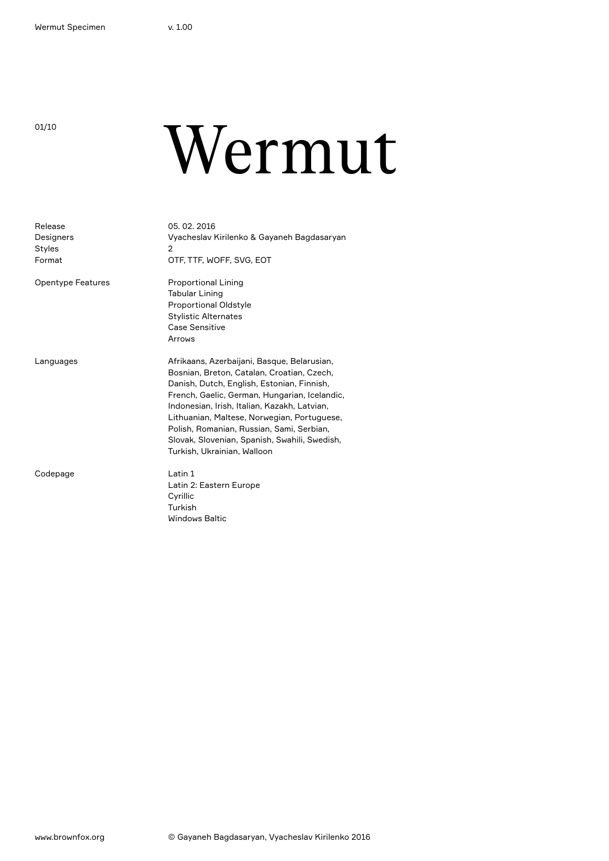01/10

# Wermut

| Release<br>Designers<br><b>Styles</b><br>Format | 05.02.2016<br>Vyacheslav Kirilenko & Gayaneh Bagdasaryan<br>2<br>OTF, TTF, WOFF, SVG, EOT                                                                                                                                                                                                                                                                                                                            |
|-------------------------------------------------|----------------------------------------------------------------------------------------------------------------------------------------------------------------------------------------------------------------------------------------------------------------------------------------------------------------------------------------------------------------------------------------------------------------------|
| <b>Opentype Features</b>                        | <b>Proportional Lining</b><br><b>Tabular Lining</b><br><b>Proportional Oldstyle</b><br><b>Stylistic Alternates</b><br>Case Sensitive<br>Arrows                                                                                                                                                                                                                                                                       |
| Languages                                       | Afrikaans, Azerbaijani, Basque, Belarusian,<br>Bosnian, Breton, Catalan, Croatian, Czech,<br>Danish, Dutch, English, Estonian, Finnish,<br>French, Gaelic, German, Hungarian, Icelandic,<br>Indonesian, Irish, Italian, Kazakh, Latvian,<br>Lithuanian, Maltese, Norwegian, Portuguese,<br>Polish, Romanian, Russian, Sami, Serbian,<br>Slovak, Slovenian, Spanish, Swahili, Swedish,<br>Turkish, Ukrainian, Walloon |
| Codepage                                        | Latin 1<br>Latin 2: Eastern Europe<br>Cyrillic<br>Turkish<br><b>Windows Baltic</b>                                                                                                                                                                                                                                                                                                                                   |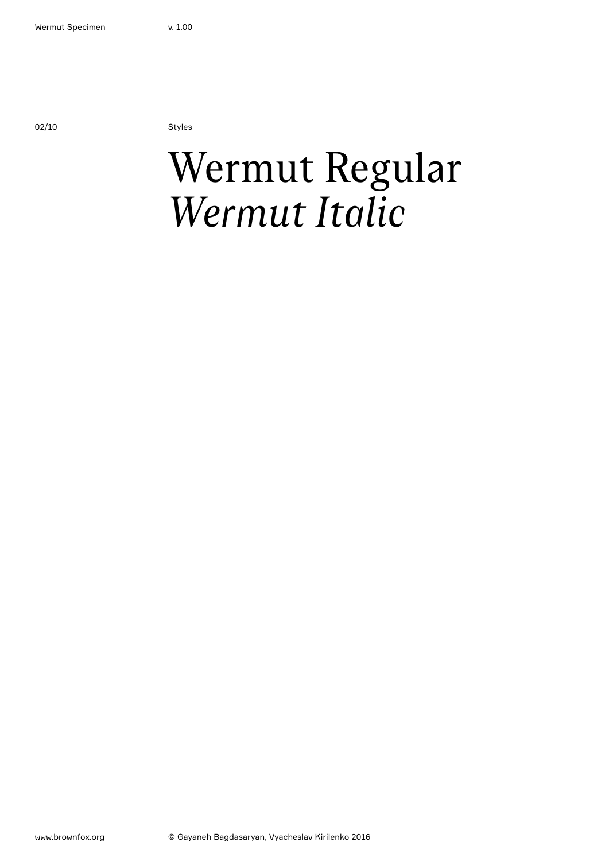02/10 Styles

### Wermut Regular *Wermut Italic*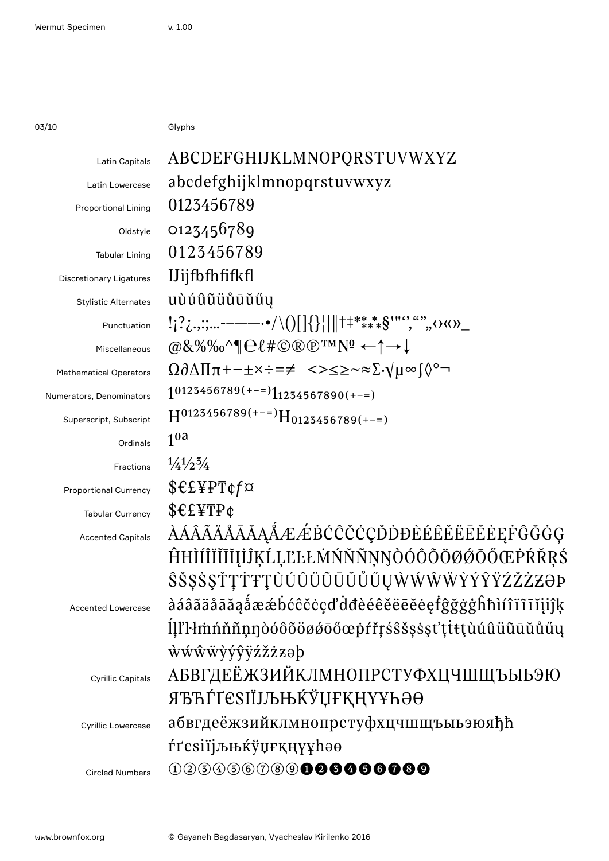$03/10$ 

Glyphs

| Latin Capitals                 | ABCDEFGHIJKLMNOPQRSTUVWXYZ                                                                                                                                                                 |
|--------------------------------|--------------------------------------------------------------------------------------------------------------------------------------------------------------------------------------------|
| Latin Lowercase                | abcdefghijklmnopqrstuvwxyz                                                                                                                                                                 |
| <b>Proportional Lining</b>     | 0123456789                                                                                                                                                                                 |
| Oldstyle                       | 0123456789                                                                                                                                                                                 |
| <b>Tabular Lining</b>          | 0123456789                                                                                                                                                                                 |
| <b>Discretionary Ligatures</b> | <b>IJijfbfhfifkfl</b>                                                                                                                                                                      |
| <b>Stylistic Alternates</b>    | uùúûũüůūŭűy                                                                                                                                                                                |
| Punctuation                    | $! \{? \ldots; \ldots \text{---} \rightarrow \bullet / \setminus ()[]\{\}\  \text{++} \text{***} \text{--} \text{***} \} \text{''''}, \text{``}, \text{``}, \text{``}, \text{``}) \text{}$ |
| Miscellaneous                  | $@8\%\%0^{\prime}$ $\oplus$ $\ell$ # $\odot$ $\otimes$ $\oplus$ $\mathsf{TMN}$ $\hookrightarrow$ $\uparrow$ $\rightarrow$ $\downarrow$                                                     |
| <b>Mathematical Operators</b>  | $\Omega \partial \Delta \Pi \pi + - \pm \times \div = \neq \langle -\rangle \leq \geq \sim \approx \Sigma \cdot \sqrt{\mu} \infty$                                                         |
| Numerators, Denominators       | $10123456789(+-1)1234567890(+-1)$                                                                                                                                                          |
| Superscript, Subscript         | $H^{0125456789(+-)}H_{0125456789(+-)}$                                                                                                                                                     |
| Ordinals                       | 1 <sup>0a</sup>                                                                                                                                                                            |
| Fractions                      | $\frac{1}{4}\frac{1}{2}\frac{3}{4}$                                                                                                                                                        |
| Proportional Currency          | \$€£¥PT¢f¤                                                                                                                                                                                 |
| <b>Tabular Currency</b>        | $$E$ <sub>F</sub> $F$ <sup><math>\phi</math></sup>                                                                                                                                         |
| <b>Accented Capitals</b>       | <i>AAAAAAAAAAÆÆBĆĈČČÇĎĎĐÈÉÊĔĔĒĔĖEFĜĞĠG</i>                                                                                                                                                 |
|                                | ĤĦÌÍĨĨĨĨĬĮİĴĶĹĻĽĿŁMŃŇŇŅŊÒÓÔÕØØŐŐŒPŔŘRŚ                                                                                                                                                     |
|                                | <i>ŜŠŞŚŞŤŢŤŦŢÙÚÛŨŨŨŨŮŰŲŴŴŴŴŶÝŶŸŹŽŻZĐ</i> Þ                                                                                                                                                 |
| <b>Accented Lowercase</b>      | àáâãäåāăąåææbćĉčċçďdđèéêĕëēĕėęfĝğġģĥħìíîïīīijijķ                                                                                                                                           |
|                                | ll'l·lmnnmoodooöggoogprifsssssttttuuuuuuuu                                                                                                                                                 |
|                                | wwwwyyyzzzap                                                                                                                                                                               |
| <b>Cyrillic Capitals</b>       | АБВГДЕЁЖЗИЙКЛМНОПРСТУФХЦЧШЩЪЫЬЭЮ                                                                                                                                                           |
|                                | ЯЂЋЃҐЄЅІЇЈЉЊЌЎЏҒҚҢҮҰҺӘӨ                                                                                                                                                                    |
| <b>Cyrillic Lowercase</b>      | абвгдеёжзийклмнопрстуфхцчшщъыьэюяђћ                                                                                                                                                        |
|                                | ŕґєѕії <i>јљњк</i> ўџғқңүұһәө                                                                                                                                                              |
| <b>Circled Numbers</b>         |                                                                                                                                                                                            |
|                                |                                                                                                                                                                                            |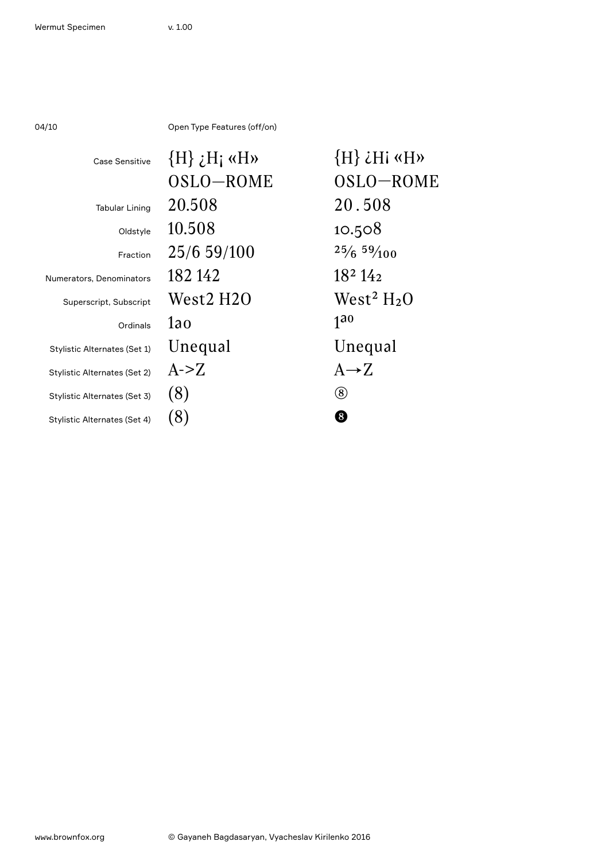| 04/10                        | Open Type Features (off/on) |                                 |
|------------------------------|-----------------------------|---------------------------------|
| Case Sensitive               | $\{H\}$ <i>i</i> $H_i$ «H»  | $\{H\}$ <i>i</i> Hi «H»         |
|                              | OSLO-ROME                   | OSLO-ROME                       |
| <b>Tabular Lining</b>        | 20.508                      | 20.508                          |
| Oldstyle                     | 10.508                      | 10.508                          |
| Fraction                     | 25/6 59/100                 | 25/659/100                      |
| Numerators, Denominators     | 182 142                     | 18 <sup>2</sup> 14 <sub>2</sub> |
| Superscript, Subscript       | West2 H2O                   | West <sup>2</sup> $H2O$         |
| Ordinals                     | 1ao                         | 1 <sup>30</sup>                 |
| Stylistic Alternates (Set 1) | Unequal                     | Unequal                         |
| Stylistic Alternates (Set 2) | A > Z                       | $A \rightarrow Z$               |
| Stylistic Alternates (Set 3) | (8)                         | (8)                             |
| Stylistic Alternates (Set 4) | (8)                         | 8                               |
|                              |                             |                                 |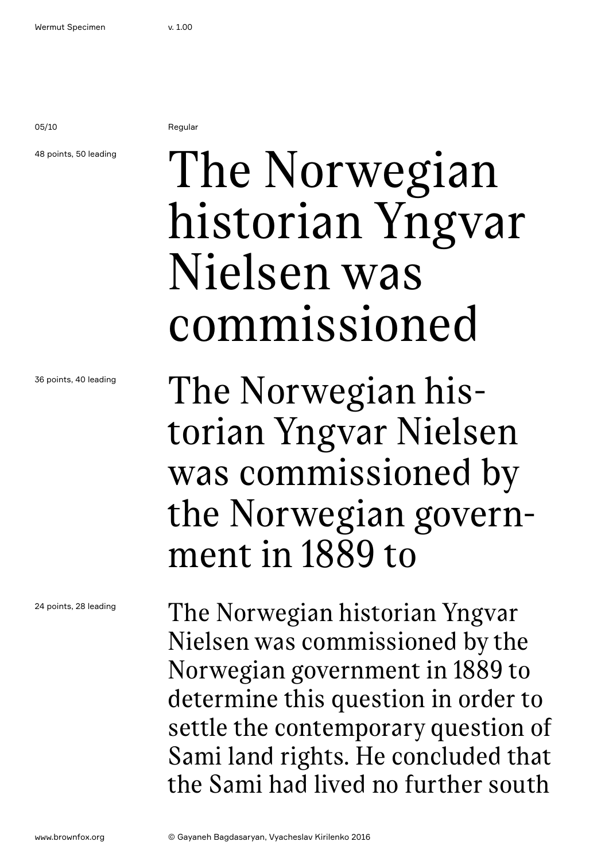05/10 Regular

### 48 points, 50 leading

## The Norwegian historian Yngvar Nielsen was commissioned

36 points, 40 leading

24 points, 28 leading

The Norwegian historian Yngvar Nielsen was commissioned by the Norwegian government in 1889 to

The Norwegian historian Yngvar Nielsen was commissioned by the Norwegian government in 1889 to determine this question in order to settle the contemporary question of Sami land rights. He concluded that the Sami had lived no further south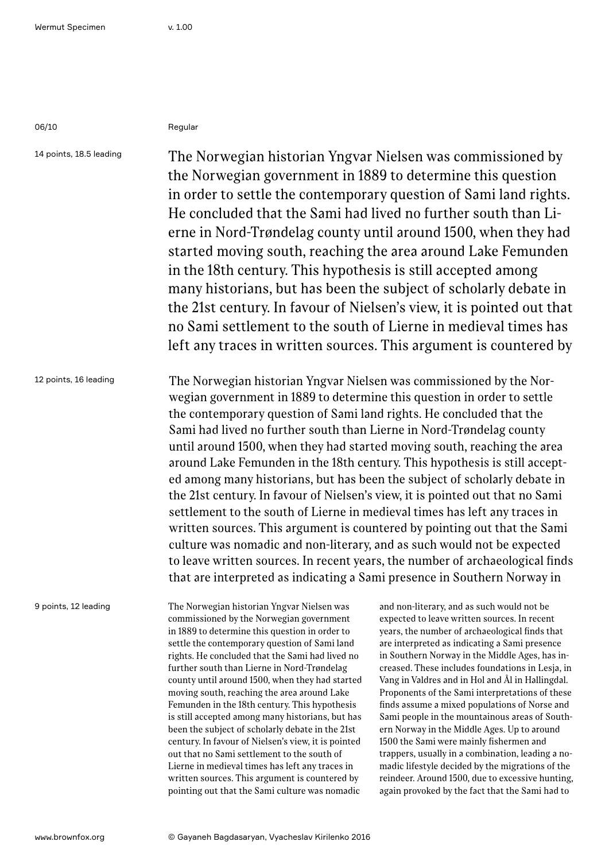| ۰, |  |
|----|--|
|----|--|

### Regular

14 points, 18.5 leading 12 points, 16 leading The Norwegian historian Yngvar Nielsen was commissioned by the Norwegian government in 1889 to determine this question in order to settle the contemporary question of Sami land rights. He concluded that the Sami had lived no further south than Lierne in Nord-Trøndelag county until around 1500, when they had started moving south, reaching the area around Lake Femunden in the 18th century. This hypothesis is still accepted among many historians, but has been the subject of scholarly debate in the 21st century. In favour of Nielsen's view, it is pointed out that no Sami settlement to the south of Lierne in medieval times has left any traces in written sources. This argument is countered by The Norwegian historian Yngvar Nielsen was commissioned by the Norwegian government in 1889 to determine this question in order to settle the contemporary question of Sami land rights. He concluded that the Sami had lived no further south than Lierne in Nord-Trøndelag county

until around 1500, when they had started moving south, reaching the area around Lake Femunden in the 18th century. This hypothesis is still accepted among many historians, but has been the subject of scholarly debate in the 21st century. In favour of Nielsen's view, it is pointed out that no Sami settlement to the south of Lierne in medieval times has left any traces in written sources. This argument is countered by pointing out that the Sami culture was nomadic and non-literary, and as such would not be expected to leave written sources. In recent years, the number of archaeological finds that are interpreted as indicating a Sami presence in Southern Norway in

9 points, 12 leading

The Norwegian historian Yngvar Nielsen was commissioned by the Norwegian government in 1889 to determine this question in order to settle the contemporary question of Sami land rights. He concluded that the Sami had lived no further south than Lierne in Nord-Trøndelag county until around 1500, when they had started moving south, reaching the area around Lake Femunden in the 18th century. This hypothesis is still accepted among many historians, but has been the subject of scholarly debate in the 21st century. In favour of Nielsen's view, it is pointed out that no Sami settlement to the south of Lierne in medieval times has left any traces in written sources. This argument is countered by pointing out that the Sami culture was nomadic

and non-literary, and as such would not be expected to leave written sources. In recent years, the number of archaeological finds that are interpreted as indicating a Sami presence in Southern Norway in the Middle Ages, has increased. These includes foundations in Lesja, in Vang in Valdres and in Hol and Ål in Hallingdal. Proponents of the Sami interpretations of these finds assume a mixed populations of Norse and Sami people in the mountainous areas of Southern Norway in the Middle Ages. Up to around 1500 the Sami were mainly fishermen and trappers, usually in a combination, leading a nomadic lifestyle decided by the migrations of the reindeer. Around 1500, due to excessive hunting, again provoked by the fact that the Sami had to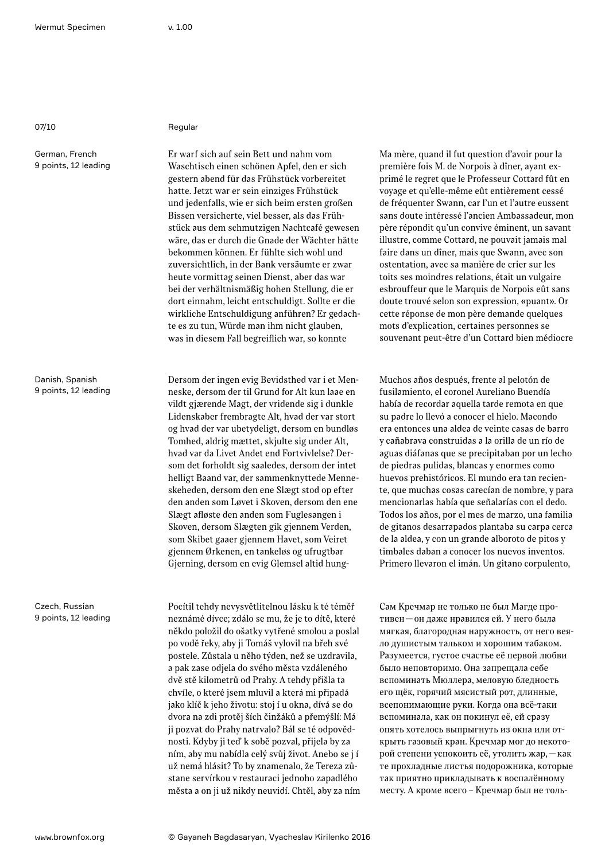German, French 9 points, 12 leading

07/10 Regular

Er warf sich auf sein Bett und nahm vom Waschtisch einen schönen Apfel, den er sich gestern abend für das Frühstück vorbereitet hatte. Jetzt war er sein einziges Frühstück und jedenfalls, wie er sich beim ersten großen Bissen versicherte, viel besser, als das Frühstück aus dem schmutzigen Nachtcafé gewesen wäre, das er durch die Gnade der Wächter hätte bekommen können. Er fühlte sich wohl und zuversichtlich, in der Bank versäumte er zwar heute vormittag seinen Dienst, aber das war bei der verhältnismäßig hohen Stellung, die er dort einnahm, leicht entschuldigt. Sollte er die wirkliche Entschuldigung anführen? Er gedachte es zu tun, Würde man ihm nicht glauben, was in diesem Fall begreiflich war, so konnte

Dersom der ingen evig Bevidsthed var i et Menneske, dersom der til Grund for Alt kun laae en vildt gjærende Magt, der vridende sig i dunkle Lidenskaber frembragte Alt, hvad der var stort og hvad der var ubetydeligt, dersom en bundløs Tomhed, aldrig mættet, skjulte sig under Alt, hvad var da Livet Andet end Fortvivlelse? Dersom det forholdt sig saaledes, dersom der intet helligt Baand var, der sammenknyttede Menneskeheden, dersom den ene Slægt stod op efter den anden som Løvet i Skoven, dersom den ene Slægt afløste den anden som Fuglesangen i Skoven, dersom Slægten gik gjennem Verden, som Skibet gaaer gjennem Havet, som Veiret gjennem Ørkenen, en tankeløs og ufrugtbar Gjerning, dersom en evig Glemsel altid hung-

Pocítil tehdy nevysvětlitelnou lásku k té téměř neznámé dívce; zdálo se mu, že je to dítě, které někdo položil do ošatky vytřené smolou a poslal po vodě řeky, aby ji Tomáš vylovil na břeh své postele. Zůstala u něho týden, než se uzdravila, a pak zase odjela do svého města vzdáleného dvě stě kilometrů od Prahy. A tehdy přišla ta chvíle, o které jsem mluvil a která mi připadá jako klíč k jeho životu: stoj í u okna, dívá se do dvora na zdi protěj ších činžáků a přemýšlí: Má ji pozvat do Prahy natrvalo? Bál se té odpovědnosti. Kdyby ji teď k sobě pozval, přijela by za ním, aby mu nabídla celý svůj život. Anebo se j í už nemá hlásit? To by znamenalo, že Tereza zůstane servírkou v restauraci jednoho zapadlého města a on ji už nikdy neuvidí. Chtěl, aby za ním Ma mère, quand il fut question d'avoir pour la première fois M. de Norpois à dîner, ayant exprimé le regret que le Professeur Cottard fût en voyage et qu'elle-même eût entièrement cessé de fréquenter Swann, car l'un et l'autre eussent sans doute intéressé l'ancien Ambassadeur, mon père répondit qu'un convive éminent, un savant illustre, comme Cottard, ne pouvait jamais mal faire dans un dîner, mais que Swann, avec son ostentation, avec sa manière de crier sur les toits ses moindres relations, était un vulgaire esbrouffeur que le Marquis de Norpois eût sans doute trouvé selon son expression, «puant». Or cette réponse de mon père demande quelques mots d'explication, certaines personnes se souvenant peut-être d'un Cottard bien médiocre

Muchos años después, frente al pelotón de fusilamiento, el coronel Aureliano Buendía había de recordar aquella tarde remota en que su padre lo llevó a conocer el hielo. Macondo era entonces una aldea de veinte casas de barro y cañabrava construidas a la orilla de un río de aguas diáfanas que se precipitaban por un lecho de piedras pulidas, blancas y enormes como huevos prehistóricos. El mundo era tan reciente, que muchas cosas carecían de nombre, y para mencionarlas había que señalarías con el dedo. Todos los años, por el mes de marzo, una familia de gitanos desarrapados plantaba su carpa cerca de la aldea, y con un grande alboroto de pitos y timbales daban a conocer los nuevos inventos. Primero llevaron el imán. Un gitano corpulento,

Сам Кречмар не только не был Магде противен—он даже нравился ей. У него была мягкая, благородная наружность, от него веяло душистым тальком и хорошим табаком. Разумеется, густое счастье её первой любви было неповторимо. Она запрещала себе вспоминать Мюллера, меловую бледность его щёк, горячий мясистый рот, длинные, всепонимающие руки. Когда она всё-таки вспоминала, как он покинул её, ей сразу опять хотелось выпрыгнуть из окна или открыть газовый кран. Кречмар мог до некоторой степени успокоить её, утолить жар,—как те прохладные листья подорожника, которые так приятно прикладывать к воспалённому месту. А кроме всего – Кречмар был не толь-

Danish, Spanish 9 points, 12 leading

Czech, Russian 9 points, 12 leading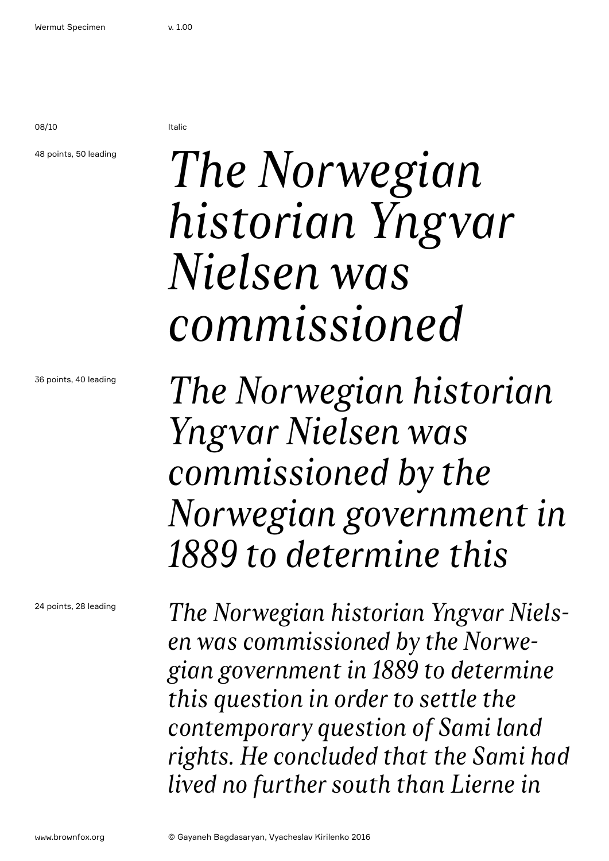08/10 Italic

### 48 points, 50 leading

### *The Norwegian historian Yngvar Nielsen was commissioned*

36 points, 40 leading

24 points, 28 leading

*Yngvar Nielsen was commissioned by the Norwegian government in 1889 to determine this*

*The Norwegian historian* 

*The Norwegian historian Yngvar Nielsen was commissioned by the Norwegian government in 1889 to determine this question in order to settle the contemporary question of Sami land rights. He concluded that the Sami had lived no further south than Lierne in*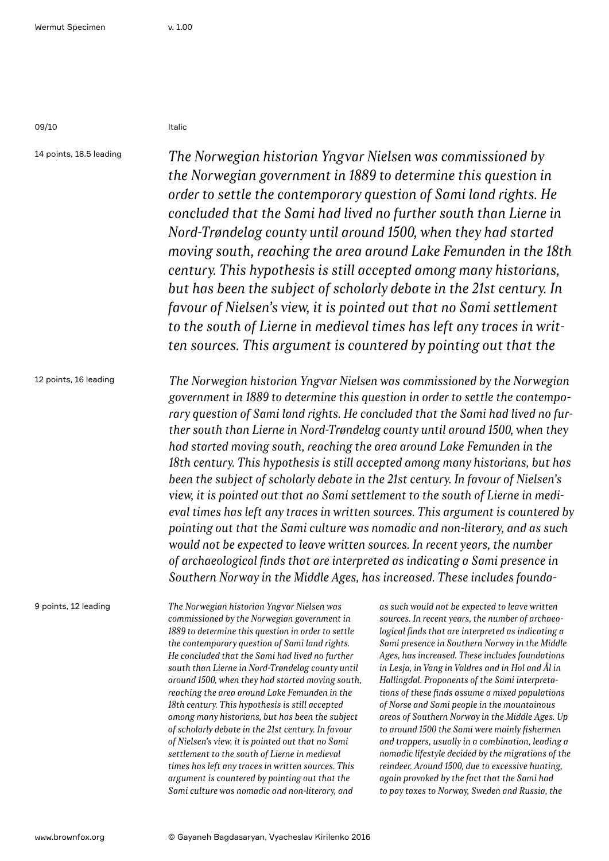09/10 Italic

14 points, 18.5 leading 12 points, 16 leading 9 points, 12 leading *The Norwegian historian Yngvar Nielsen was commissioned by the Norwegian government in 1889 to determine this question in order to settle the contemporary question of Sami land rights. He concluded that the Sami had lived no further south than Lierne in Nord-Trøndelag county until around 1500, when they had started moving south, reaching the area around Lake Femunden in the 18th century. This hypothesis is still accepted among many historians, but has been the subject of scholarly debate in the 21st century. In favour of Nielsen's view, it is pointed out that no Sami settlement to the south of Lierne in medieval times has left any traces in written sources. This argument is countered by pointing out that the The Norwegian historian Yngvar Nielsen was commissioned by the Norwegian government in 1889 to determine this question in order to settle the contemporary question of Sami land rights. He concluded that the Sami had lived no further south than Lierne in Nord-Trøndelag county until around 1500, when they had started moving south, reaching the area around Lake Femunden in the 18th century. This hypothesis is still accepted among many historians, but has been the subject of scholarly debate in the 21st century. In favour of Nielsen's view, it is pointed out that no Sami settlement to the south of Lierne in medieval times has left any traces in written sources. This argument is countered by pointing out that the Sami culture was nomadic and non-literary, and as such would not be expected to leave written sources. In recent years, the number of archaeological finds that are interpreted as indicating a Sami presence in Southern Norway in the Middle Ages, has increased. These includes founda-The Norwegian historian Yngvar Nielsen was commissioned by the Norwegian government in 1889 to determine this question in order to settle the contemporary question of Sami land rights. He concluded that the Sami had lived no further south than Lierne in Nord-Trøndelag county until around 1500, when they had started moving south, as such would not be expected to leave written sources. In recent years, the number of archaeological finds that are interpreted as indicating a Sami presence in Southern Norway in the Middle Ages, has increased. These includes foundations in Lesja, in Vang in Valdres and in Hol and Ål in Hallingdal. Proponents of the Sami interpreta-*

*reaching the area around Lake Femunden in the 18th century. This hypothesis is still accepted among many historians, but has been the subject of scholarly debate in the 21st century. In favour of Nielsen's view, it is pointed out that no Sami settlement to the south of Lierne in medieval times has left any traces in written sources. This argument is countered by pointing out that the Sami culture was nomadic and non-literary, and* 

*tions of these finds assume a mixed populations of Norse and Sami people in the mountainous areas of Southern Norway in the Middle Ages. Up to around 1500 the Sami were mainly fishermen and trappers, usually in a combination, leading a nomadic lifestyle decided by the migrations of the reindeer. Around 1500, due to excessive hunting, again provoked by the fact that the Sami had to pay taxes to Norway, Sweden and Russia, the*